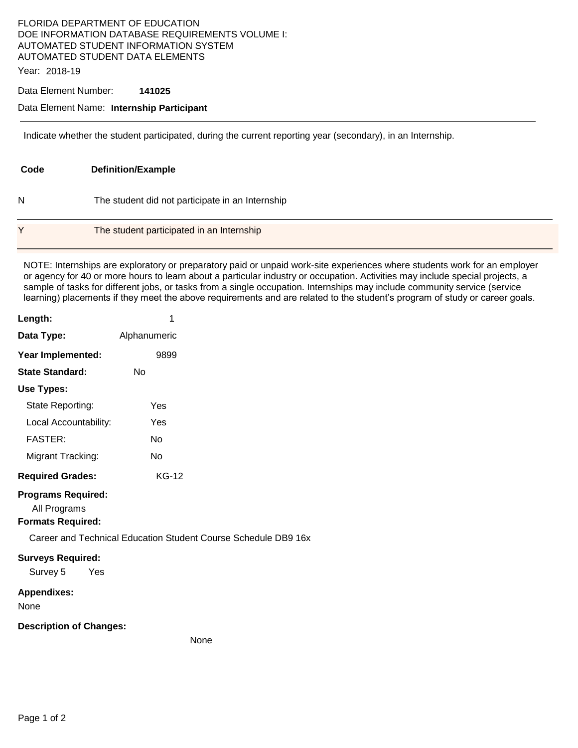## FLORIDA DEPARTMENT OF EDUCATION DOE INFORMATION DATABASE REQUIREMENTS VOLUME I: AUTOMATED STUDENT INFORMATION SYSTEM AUTOMATED STUDENT DATA ELEMENTS

Year: 2018-19

## Data Element Number: **141025**

## Data Element Name: **Internship Participant**

Indicate whether the student participated, during the current reporting year (secondary), in an Internship.

| Code | <b>Definition/Example</b>                        |
|------|--------------------------------------------------|
| N    | The student did not participate in an Internship |
| v    | The student participated in an Internship        |

NOTE: Internships are exploratory or preparatory paid or unpaid work-site experiences where students work for an employer or agency for 40 or more hours to learn about a particular industry or occupation. Activities may include special projects, a sample of tasks for different jobs, or tasks from a single occupation. Internships may include community service (service learning) placements if they meet the above requirements and are related to the student's program of study or career goals.

Schedule DB9 16x

| Length:                                                               | 1                                             |
|-----------------------------------------------------------------------|-----------------------------------------------|
| Data Type:                                                            | Alphanumeric                                  |
| Year Implemented:                                                     | 9899                                          |
| <b>State Standard:</b>                                                | Nο                                            |
| Use Types:                                                            |                                               |
| State Reporting:                                                      | Yes                                           |
| Local Accountability:                                                 | Yes                                           |
| <b>FASTER:</b>                                                        | No                                            |
| Migrant Tracking:                                                     | No                                            |
| <b>Required Grades:</b>                                               | <b>KG-12</b>                                  |
| <b>Programs Required:</b><br>All Programs<br><b>Formats Required:</b> | Career and Technical Education Student Course |
| <b>Surveys Required:</b><br>Survey 5<br>yes Yes                       |                                               |
| <b>Appendixes:</b><br>None                                            |                                               |
| <b>Description of Changes:</b>                                        |                                               |

None